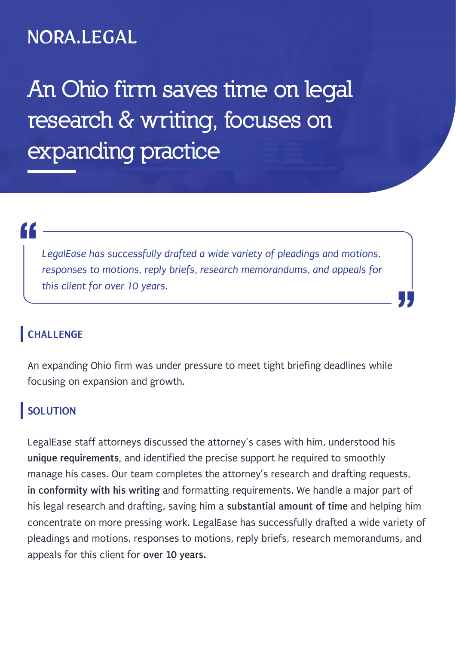## NORA.LEGAL

**An Ohio firm saves time on legal research & writing, focuses on expanding practice**

"<br>|<br>|

*LegalEase has successfully drafted a wide variety of pleadings and motions, responses to motions, reply briefs, research memorandums, and appeals for this client for over 10 years.*

"

**CHALLENGE**

An expanding Ohio firm was under pressure to meet tight briefing deadlines while focusing on expansion and growth.

## **SOLUTION**

LegalEase staff attorneys discussed the attorney's cases with him, understood his **unique requirements,** and identified the precise support he required to smoothly manage his cases. Our team completes the attorney's research and drafting requests, **in conformity with his writing** and formatting requirements. We handle a major part of his legal research and drafting, saving him a **substantial amount of time** and helping him concentrate on more pressing work. LegalEase has successfully drafted a wide variety of pleadings and motions, responses to motions, reply briefs, research memorandums, and appeals for this client for **over 10 years.**